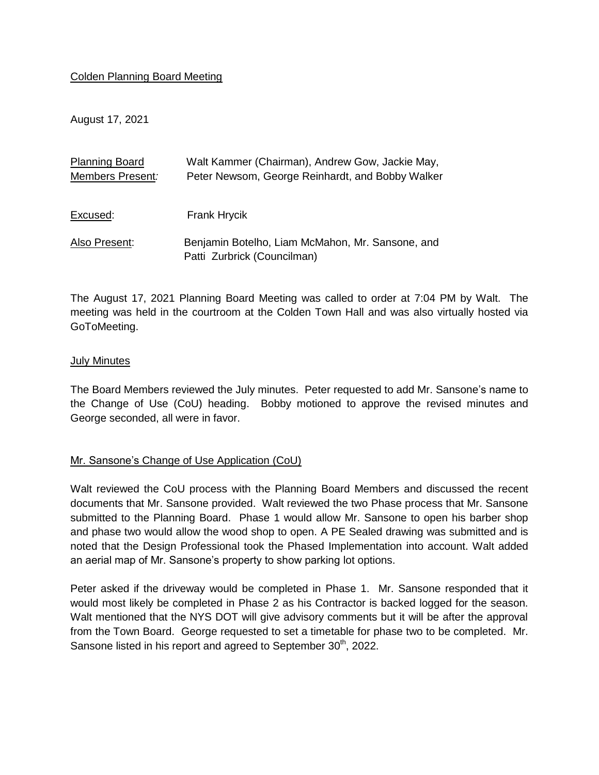### Colden Planning Board Meeting

August 17, 2021

| <b>Planning Board</b>   | Walt Kammer (Chairman), Andrew Gow, Jackie May,  |
|-------------------------|--------------------------------------------------|
| <b>Members Present:</b> | Peter Newsom, George Reinhardt, and Bobby Walker |
|                         |                                                  |
|                         |                                                  |
| Excused:                | <b>Frank Hrycik</b>                              |
| Also Present:           | Benjamin Botelho, Liam McMahon, Mr. Sansone, and |
|                         |                                                  |
|                         | Patti Zurbrick (Councilman)                      |

The August 17, 2021 Planning Board Meeting was called to order at 7:04 PM by Walt. The meeting was held in the courtroom at the Colden Town Hall and was also virtually hosted via GoToMeeting.

#### July Minutes

The Board Members reviewed the July minutes. Peter requested to add Mr. Sansone's name to the Change of Use (CoU) heading. Bobby motioned to approve the revised minutes and George seconded, all were in favor.

### Mr. Sansone's Change of Use Application (CoU)

Walt reviewed the CoU process with the Planning Board Members and discussed the recent documents that Mr. Sansone provided. Walt reviewed the two Phase process that Mr. Sansone submitted to the Planning Board. Phase 1 would allow Mr. Sansone to open his barber shop and phase two would allow the wood shop to open. A PE Sealed drawing was submitted and is noted that the Design Professional took the Phased Implementation into account. Walt added an aerial map of Mr. Sansone's property to show parking lot options.

Peter asked if the driveway would be completed in Phase 1. Mr. Sansone responded that it would most likely be completed in Phase 2 as his Contractor is backed logged for the season. Walt mentioned that the NYS DOT will give advisory comments but it will be after the approval from the Town Board. George requested to set a timetable for phase two to be completed. Mr. Sansone listed in his report and agreed to September  $30<sup>th</sup>$ , 2022.